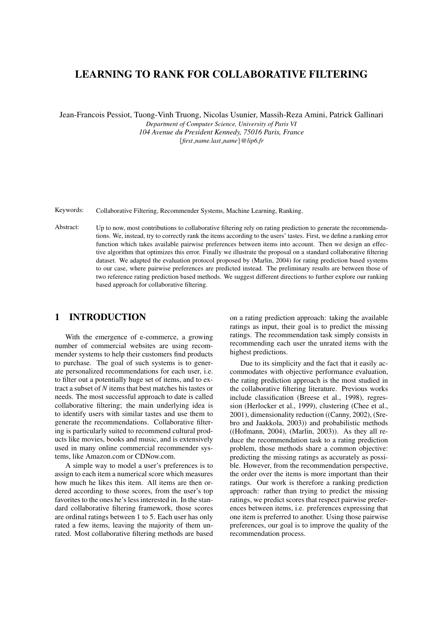# LEARNING TO RANK FOR COLLABORATIVE FILTERING

Jean-Francois Pessiot, Tuong-Vinh Truong, Nicolas Usunier, Massih-Reza Amini, Patrick Gallinari

*Department of Computer Science, University of Paris VI 104 Avenue du President Kennedy, 75016 Paris, France* {*first name.last name*}*@lip6.fr*

Keywords: Collaborative Filtering, Recommender Systems, Machine Learning, Ranking.

Abstract: Up to now, most contributions to collaborative filtering rely on rating prediction to generate the recommendations. We, instead, try to correctly rank the items according to the users' tastes. First, we define a ranking error function which takes available pairwise preferences between items into account. Then we design an effective algorithm that optimizes this error. Finally we illustrate the proposal on a standard collaborative filtering dataset. We adapted the evaluation protocol proposed by (Marlin, 2004) for rating prediction based systems to our case, where pairwise preferences are predicted instead. The preliminary results are between those of two reference rating prediction based methods. We suggest different directions to further explore our ranking based approach for collaborative filtering.

# 1 INTRODUCTION

With the emergence of e-commerce, a growing number of commercial websites are using recommender systems to help their customers find products to purchase. The goal of such systems is to generate personalized recommendations for each user, i.e. to filter out a potentially huge set of items, and to extract a subset of *N* items that best matches his tastes or needs. The most successful approach to date is called collaborative filtering; the main underlying idea is to identify users with similar tastes and use them to generate the recommendations. Collaborative filtering is particularly suited to recommend cultural products like movies, books and music, and is extensively used in many online commercial recommender systems, like Amazon.com or CDNow.com.

A simple way to model a user's preferences is to assign to each item a numerical score which measures how much he likes this item. All items are then ordered according to those scores, from the user's top favorites to the ones he's less interested in. In the standard collaborative filtering framework, those scores are ordinal ratings between 1 to 5. Each user has only rated a few items, leaving the majority of them unrated. Most collaborative filtering methods are based

on a rating prediction approach: taking the available ratings as input, their goal is to predict the missing ratings. The recommendation task simply consists in recommending each user the unrated items with the highest predictions.

Due to its simplicity and the fact that it easily accommodates with objective performance evaluation, the rating prediction approach is the most studied in the collaborative filtering literature. Previous works include classification (Breese et al., 1998), regression (Herlocker et al., 1999), clustering (Chee et al., 2001), dimensionality reduction ((Canny, 2002), (Srebro and Jaakkola, 2003)) and probabilistic methods ((Hofmann, 2004), (Marlin, 2003)). As they all reduce the recommendation task to a rating prediction problem, those methods share a common objective: predicting the missing ratings as accurately as possible. However, from the recommendation perspective, the order over the items is more important than their ratings. Our work is therefore a ranking prediction approach: rather than trying to predict the missing ratings, we predict scores that respect pairwise preferences between items, i.e. preferences expressing that one item is preferred to another. Using those pairwise preferences, our goal is to improve the quality of the recommendation process.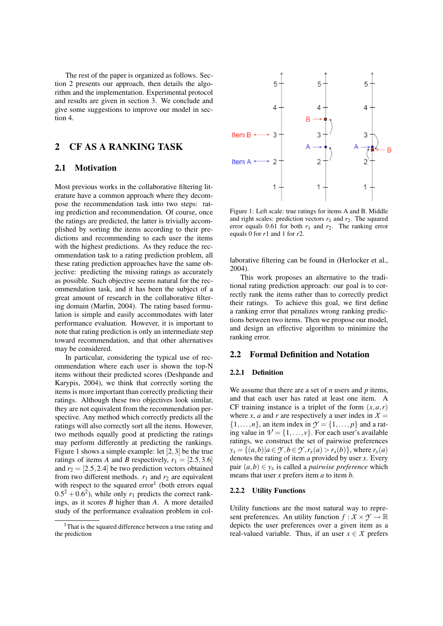The rest of the paper is organized as follows. Section 2 presents our approach, then details the algorithm and the implementation. Experimental protocol and results are given in section 3. We conclude and give some suggestions to improve our model in section 4.

## 2 CF AS A RANKING TASK

### 2.1 Motivation

Most previous works in the collaborative filtering literature have a common approach where they decompose the recommendation task into two steps: rating prediction and recommendation. Of course, once the ratings are predicted, the latter is trivially accomplished by sorting the items according to their predictions and recommending to each user the items with the highest predictions. As they reduce the recommendation task to a rating prediction problem, all these rating prediction approaches have the same objective: predicting the missing ratings as accurately as possible. Such objective seems natural for the recommendation task, and it has been the subject of a great amount of research in the collaborative filtering domain (Marlin, 2004). The rating based formulation is simple and easily accommodates with later performance evaluation. However, it is important to note that rating prediction is only an intermediate step toward recommendation, and that other alternatives may be considered.

In particular, considering the typical use of recommendation where each user is shown the top-N items without their predicted scores (Deshpande and Karypis, 2004), we think that correctly sorting the items is more important than correctly predicting their ratings. Although these two objectives look similar, they are not equivalent from the recommendation perspective. Any method which correctly predicts all the ratings will also correctly sort all the items. However, two methods equally good at predicting the ratings may perform differently at predicting the rankings. Figure 1 shows a simple example: let [2*,*3] be the true ratings of items *A* and *B* respectively,  $r_1 = [2.5, 3.6]$ and  $r_2 = [2.5, 2.4]$  be two prediction vectors obtained from two different methods.  $r_1$  and  $r_2$  are equivalent with respect to the squared  $error<sup>1</sup>$  (both errors equal  $0.5^2 + 0.6^2$ , while only  $r_1$  predicts the correct rankings, as it scores *B* higher than *A*. A more detailed study of the performance evaluation problem in col-



Figure 1: Left scale: true ratings for items A and B. Middle and right scales: prediction vectors  $r_1$  and  $r_2$ . The squared error equals 0.61 for both  $r_1$  and  $r_2$ . The ranking error equals 0 for *r*1 and 1 for *r*2.

laborative filtering can be found in (Herlocker et al., 2004).

This work proposes an alternative to the traditional rating prediction approach: our goal is to correctly rank the items rather than to correctly predict their ratings. To achieve this goal, we first define a ranking error that penalizes wrong ranking predictions between two items. Then we propose our model, and design an effective algorithm to minimize the ranking error.

### 2.2 Formal Definition and Notation

#### 2.2.1 Definition

We assume that there are a set of *n* users and *p* items, and that each user has rated at least one item. A CF training instance is a triplet of the form  $(x, a, r)$ where *x*, *a* and *r* are respectively a user index in  $X =$  $\{1,\ldots,n\}$ , an item index in  $\mathcal{Y} = \{1,\ldots,p\}$  and a rating value in  $V = \{1, \ldots, v\}$ . For each user's available ratings, we construct the set of pairwise preferences  $y_x = \{(a,b) | a \in \mathcal{Y}, b \in \mathcal{Y}, r_x(a) > r_x(b)\}$ , where  $r_x(a)$ denotes the rating of item *a* provided by user *x*. Every pair  $(a,b) \in y_x$  is called a *pairwise preference* which means that user *x* prefers item *a* to item *b*.

#### 2.2.2 Utility Functions

Utility functions are the most natural way to represent preferences. An utility function  $f: X \times Y \to \mathbb{R}$ depicts the user preferences over a given item as a real-valued variable. Thus, if an user  $x \in \mathcal{X}$  prefers

<sup>&</sup>lt;sup>1</sup>That is the squared difference between a true rating and the prediction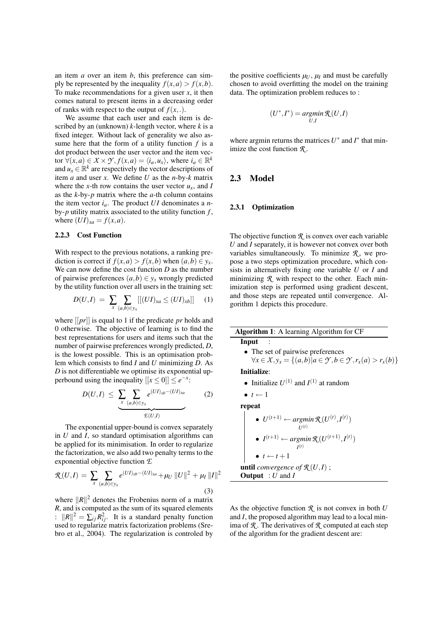an item *a* over an item *b*, this preference can simply be represented by the inequality  $f(x, a) > f(x, b)$ . To make recommendations for a given user *x*, it then comes natural to present items in a decreasing order of ranks with respect to the output of  $f(x, .)$ .

We assume that each user and each item is described by an (unknown) *k*-length vector, where *k* is a fixed integer. Without lack of generality we also assume here that the form of a utility function *f* is a dot product between the user vector and the item vector  $\forall (x, a) \in X \times \mathcal{Y}, f(x, a) = \langle i_a, u_x \rangle$ , where  $i_a \in \mathbb{R}^k$ and  $u_x \in \mathbb{R}^k$  are respectively the vector descriptions of item *a* and user *x*. We define *U* as the *n*-by-*k* matrix where the *x*-th row contains the user vector  $u_x$ , and *I* as the *k*-by-*p* matrix where the *a*-th column contains the item vector  $i_a$ . The product  $UI$  denominates a *n*by-*p* utility matrix associated to the utility function *f* , where  $(UI)_{xa} = f(x,a)$ .

#### 2.2.3 Cost Function

With respect to the previous notations, a ranking prediction is correct if  $f(x,a) > f(x,b)$  when  $(a,b) \in y_x$ . We can now define the cost function *D* as the number of pairwise preferences  $(a, b) \in y_x$  wrongly predicted by the utility function over all users in the training set:

$$
D(U,I) = \sum_{x} \sum_{(a,b)\in y_x} [[(UI)_{xa} \le (UI)_{xb}]] \quad (1)
$$

where [[*pr*]] is equal to 1 if the predicate *pr* holds and 0 otherwise. The objective of learning is to find the best representations for users and items such that the number of pairwise preferences wrongly predicted, *D*, is the lowest possible. This is an optimisation problem which consists to find *I* and *U* minimizing *D*. As *D* is not differentiable we optimise its exponential upperbound using the inequality  $[[x \le 0]] \le e^{-x}$ :

$$
D(U,I) \leq \underbrace{\sum_{x} \sum_{(a,b)\in y_x} e^{(UI)_{xb} - (UI)_{xa}}}_{\mathcal{L}(U,I)} \qquad (2)
$$

The exponential upper-bound is convex separately in *U* and *I*, so standard optimisation algorithms can be applied for its minimisation. In order to regularize the factorization, we also add two penalty terms to the exponential objective function *E*

$$
\mathcal{R}(U,I) = \sum_{x} \sum_{(a,b)\in y_x} e^{(UI)_{xb} - (UI)_{xa}} + \mu_U ||U||^2 + \mu_I ||I||^2
$$
\n(3)

where  $||R||^2$  denotes the Frobenius norm of a matrix *R*, and is computed as the sum of its squared elements :  $||R||^2 = \sum_{ij} R_{ij}^2$ . It is a standard penalty function used to regularize matrix factorization problems (Srebro et al., 2004). The regularization is controled by the positive coefficients  $\mu_U$ ,  $\mu_I$  and must be carefully chosen to avoid overfitting the model on the training data. The optimization problem reduces to :

$$
(U^*,I^*) = \operatornamewithlimits{argmin}_{U,I} \mathcal{R}(U,I)
$$

where argmin returns the matrices  $U^*$  and  $I^*$  that minimize the cost function *R* .

### 2.3 Model

L

#### 2.3.1 Optimization

The objective function  $\Re$  is convex over each variable *U* and *I* separately, it is however not convex over both variables simultaneously. To minimize  $R$ , we propose a two steps optimization procedure, which consists in alternatively fixing one variable *U* or *I* and minimizing  *with respect to the other. Each min*imization step is performed using gradient descent, and those steps are repeated until convergence. Algorithm 1 depicts this procedure.

| <b>Algorithm 1:</b> A learning Algorithm for CF                                                       |
|-------------------------------------------------------------------------------------------------------|
| Input                                                                                                 |
| • The set of pairwise preferences                                                                     |
| $\forall x \in \mathcal{X}, y_x = \{(a,b)   a \in \mathcal{Y}, b \in \mathcal{Y}, r_x(a) > r_x(b)\}\$ |
| Initialize:                                                                                           |
| • Initialize $U^{(1)}$ and $I^{(1)}$ at random                                                        |
| $\bullet$ t $\leftarrow$ 1                                                                            |
| repeat                                                                                                |

\n- \n
$$
U^{(t+1)} \leftarrow \operatorname*{argmin}_{U^{(t)}} \mathcal{R}(U^{(t)}, I^{(t)})
$$
\n
\n- \n
$$
I^{(t+1)} \leftarrow \operatorname*{argmin}_{I^{(t)}} \mathcal{R}(U^{(t+1)}, I^{(t)})
$$
\n
\n- \n
$$
t \leftarrow t + 1
$$
\n
\n- \n until convergence of  $\mathcal{R}(U, I)$  ;\n
\n- \n Output: U and I\n
\n

As the objective function *R* is not convex in both *U* and *I*, the proposed algorithm may lead to a local minima of  $\mathcal{R}$ . The derivatives of  $\mathcal{R}$  computed at each step of the algorithm for the gradient descent are: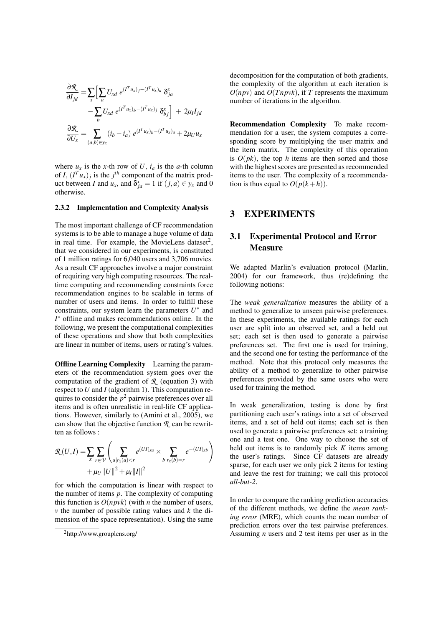$$
\frac{\partial \mathcal{R}}{\partial I_{jd}} = \sum_{x} \Big[ \sum_{a} U_{xd} e^{(I^{T} u_{x})_{j} - (I^{T} u_{x})_{a}} \delta_{ja}^{x} - \sum_{b} U_{xd} e^{(I^{T} u_{x})_{b} - (I^{T} u_{x})_{j}} \delta_{bj}^{x} \Big] + 2\mu_{I} I_{jd}
$$

$$
\frac{\partial \mathcal{R}}{\partial U_{x}} = \sum_{(a,b) \in y_{x}} (i_{b} - i_{a}) e^{(I^{T} u_{x})_{b} - (I^{T} u_{x})_{a}} + 2\mu_{U} u_{x}
$$

where  $u_x$  is the *x*-th row of *U*,  $i_a$  is the *a*-th column of *I*,  $(I^T u_x)_j$  is the *j*<sup>th</sup> component of the matrix product between *I* and  $u_x$ , and  $\delta_{ja}^x = 1$  if  $(j, a) \in y_x$  and 0 otherwise.

#### 2.3.2 Implementation and Complexity Analysis

The most important challenge of CF recommendation systems is to be able to manage a huge volume of data in real time. For example, the MovieLens dataset<sup>2</sup>, that we considered in our experiments, is constituted of 1 million ratings for 6,040 users and 3,706 movies. As a result CF approaches involve a major constraint of requiring very high computing resources. The realtime computing and recommending constraints force recommendation engines to be scalable in terms of number of users and items. In order to fulfill these constraints, our system learn the parameters  $U^*$  and *I*∗ offline and makes recommendations online. In the following, we present the computational complexities of these operations and show that both complexities are linear in number of items, users or rating's values.

**Offline Learning Complexity** Learning the parameters of the recommendation system goes over the computation of the gradient of *R* (equation 3) with respect to *U* and *I* (algorithm 1). This computation requires to consider the  $p^2$  pairwise preferences over all items and is often unrealistic in real-life CF applications. However, similarly to (Amini et al., 2005), we can show that the objective function *R* can be rewritten as follows :

$$
\mathcal{R}(U,I) = \sum_{x} \sum_{r \in \mathcal{V}} \left( \sum_{a|r_{x}(a) < r} e^{(UI)_{xa}} \times \sum_{b|r_{x}(b) = r} e^{-(UI)_{xb}} \right) + \mu_U ||U||^2 + \mu_I ||I||^2
$$

for which the computation is linear with respect to the number of items *p*. The complexity of computing this function is  $O(npvk)$  (with *n* the number of users, *v* the number of possible rating values and *k* the dimension of the space representation). Using the same decomposition for the computation of both gradients, the complexity of the algorithm at each iteration is  $O(npv)$  and  $O(Tnpvk)$ , if *T* represents the maximum number of iterations in the algorithm.

Recommendation Complexity To make recommendation for a user, the system computes a corresponding score by multiplying the user matrix and the item matrix. The complexity of this operation is  $O(pk)$ , the top *h* items are then sorted and those with the highest scores are presented as recommended items to the user. The complexity of a recommendation is thus equal to  $O(p(k+h))$ .

## 3 EXPERIMENTS

## 3.1 Experimental Protocol and Error **Measure**

We adapted Marlin's evaluation protocol (Marlin, 2004) for our framework, thus (re)defining the following notions:

The *weak generalization* measures the ability of a method to generalize to unseen pairwise preferences. In these experiments, the available ratings for each user are split into an observed set, and a held out set; each set is then used to generate a pairwise preferences set. The first one is used for training, and the second one for testing the performance of the method. Note that this protocol only measures the ability of a method to generalize to other pairwise preferences provided by the same users who were used for training the method.

In weak generalization, testing is done by first partitioning each user's ratings into a set of observed items, and a set of held out items; each set is then used to generate a pairwise preferences set: a training one and a test one. One way to choose the set of held out items is to randomly pick *K* items among the user's ratings. Since CF datasets are already sparse, for each user we only pick 2 items for testing and leave the rest for training; we call this protocol *all-but-2*.

In order to compare the ranking prediction accuracies of the different methods, we define the *mean ranking error* (MRE), which counts the mean number of prediction errors over the test pairwise preferences. Assuming *n* users and 2 test items per user as in the

<sup>2</sup>http://www.grouplens.org/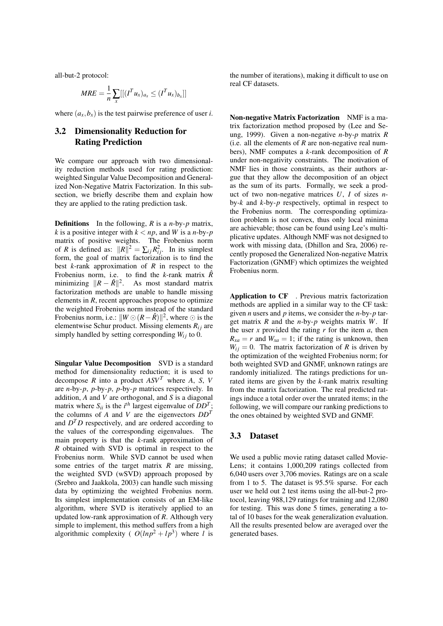all-but-2 protocol:

$$
MRE = \frac{1}{n} \sum_{x} [[(I^T u_x)_{a_x} \leq (I^T u_x)_{b_x}]]
$$

where  $(a_x, b_x)$  is the test pairwise preference of user *i*.

## 3.2 Dimensionality Reduction for Rating Prediction

We compare our approach with two dimensionality reduction methods used for rating prediction: weighted Singular Value Decomposition and Generalized Non-Negative Matrix Factorization. In this subsection, we briefly describe them and explain how they are applied to the rating prediction task.

Definitions In the following, *R* is a *n*-by-*p* matrix, *k* is a positive integer with  $k < np$ , and *W* is a *n*-by-*p* matrix of positive weights. The Frobenius norm of *R* is defined as:  $||R||^2 = \sum_{ij} R_{ij}^2$ . In its simplest form, the goal of matrix factorization is to find the best *k*-rank approximation of *R* in respect to the Frobenius norm, i.e. to find the *k*-rank matrix  $\hat{R}$ minimizing  $||R - \hat{R}||^2$ . As most standard matrix factorization methods are unable to handle missing elements in *R*, recent approaches propose to optimize the weighted Frobenius norm instead of the standard Frobenius norm, i.e.:  $||W \odot (R - \hat{R})||^2$ , where  $\odot$  is the elementwise Schur product. Missing elements  $R_{ij}$  are simply handled by setting corresponding  $W_{ij}$  to 0.

Singular Value Decomposition SVD is a standard method for dimensionality reduction; it is used to decompose *R* into a product *ASV<sup>T</sup>* where *A*, *S*, *V* are *n*-by-*p*, *p*-by-*p*, *p*-by-*p* matrices respectively. In addition, *A* and *V* are orthogonal, and *S* is a diagonal matrix where  $S_{ii}$  is the *i*<sup>th</sup> largest eigenvalue of  $DD^T$ ; the columns of *A* and *V* are the eigenvectors *DD<sup>T</sup>* and  $D<sup>T</sup>D$  respectively, and are ordered according to the values of the corresponding eigenvalues. The main property is that the *k*-rank approximation of *R* obtained with SVD is optimal in respect to the Frobenius norm. While SVD cannot be used when some entries of the target matrix *R* are missing, the weighted SVD (wSVD) approach proposed by (Srebro and Jaakkola, 2003) can handle such missing data by optimizing the weighted Frobenius norm. Its simplest implementation consists of an EM-like algorithm, where SVD is iteratively applied to an updated low-rank approximation of *R*. Although very simple to implement, this method suffers from a high algorithmic complexity ( $O(lnp^2 + lp^3)$ ) where *l* is the number of iterations), making it difficult to use on real CF datasets.

Non-negative Matrix Factorization NMF is a matrix factorization method proposed by (Lee and Seung, 1999). Given a non-negative *n*-by-*p* matrix *R* (i.e. all the elements of *R* are non-negative real numbers), NMF computes a *k*-rank decomposition of *R* under non-negativity constraints. The motivation of NMF lies in those constraints, as their authors argue that they allow the decomposition of an object as the sum of its parts. Formally, we seek a product of two non-negative matrices *U*, *I* of sizes *n*by-*k* and *k*-by-*p* respectively, optimal in respect to the Frobenius norm. The corresponding optimization problem is not convex, thus only local minima are achievable; those can be found using Lee's multiplicative updates. Although NMF was not designed to work with missing data, (Dhillon and Sra, 2006) recently proposed the Generalized Non-negative Matrix Factorization (GNMF) which optimizes the weighted Frobenius norm.

Application to CF . Previous matrix factorization methods are applied in a similar way to the CF task: given *n* users and *p* items, we consider the *n*-by-*p* target matrix *R* and the *n*-by-*p* weights matrix *W*. If the user  $x$  provided the rating  $r$  for the item  $a$ , then  $R_{xa} = r$  and  $W_{xa} = 1$ ; if the rating is unknown, then  $W_{ii} = 0$ . The matrix factorization of *R* is driven by the optimization of the weighted Frobenius norm; for both weighted SVD and GNMF, unknown ratings are randomly initialized. The ratings predictions for unrated items are given by the *k*-rank matrix resulting from the matrix factorization. The real predicted ratings induce a total order over the unrated items; in the following, we will compare our ranking predictions to the ones obtained by weighted SVD and GNMF.

### 3.3 Dataset

We used a public movie rating dataset called Movie-Lens; it contains 1,000,209 ratings collected from 6,040 users over 3,706 movies. Ratings are on a scale from 1 to 5. The dataset is 95*.*5% sparse. For each user we held out 2 test items using the all-but-2 protocol, leaving 988,129 ratings for training and 12,080 for testing. This was done 5 times, generating a total of 10 bases for the weak generalization evaluation. All the results presented below are averaged over the generated bases.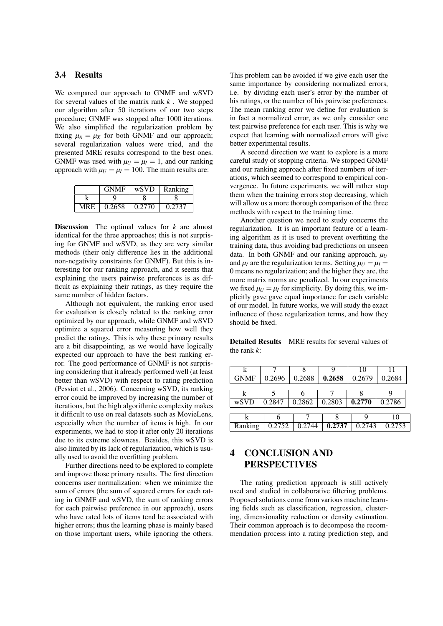### 3.4 Results

We compared our approach to GNMF and wSVD for several values of the matrix rank *k* . We stopped our algorithm after 50 iterations of our two steps procedure; GNMF was stopped after 1000 iterations. We also simplified the regularization problem by fixing  $\mu_A = \mu_X$  for both GNMF and our approach; several regularization values were tried, and the presented MRE results correspond to the best ones. GNMF was used with  $\mu_U = \mu_I = 1$ , and our ranking approach with  $\mu_U = \mu_I = 100$ . The main results are:

|            | <b>GNMF</b> | wSVD   | Ranking |
|------------|-------------|--------|---------|
|            |             |        |         |
| <b>MRE</b> | 0.2658      | 0.2770 | 0.2737  |

Discussion The optimal values for *k* are almost identical for the three approaches; this is not surprising for GNMF and wSVD, as they are very similar methods (their only difference lies in the additional non-negativity constraints for GNMF). But this is interesting for our ranking approach, and it seems that explaining the users pairwise preferences is as difficult as explaining their ratings, as they require the same number of hidden factors.

Although not equivalent, the ranking error used for evaluation is closely related to the ranking error optimized by our approach, while GNMF and wSVD optimize a squared error measuring how well they predict the ratings. This is why these primary results are a bit disappointing, as we would have logically expected our approach to have the best ranking error. The good performance of GNMF is not surprising considering that it already performed well (at least better than wSVD) with respect to rating prediction (Pessiot et al., 2006). Concerning wSVD, its ranking error could be improved by increasing the number of iterations, but the high algorithmic complexity makes it difficult to use on real datasets such as MovieLens, especially when the number of items is high. In our experiments, we had to stop it after only 20 iterations due to its extreme slowness. Besides, this wSVD is also limited by its lack of regularization, which is usually used to avoid the overfitting problem.

Further directions need to be explored to complete and improve those primary results. The first direction concerns user normalization: when we minimize the sum of errors (the sum of squared errors for each rating in GNMF and wSVD, the sum of ranking errors for each pairwise preference in our approach), users who have rated lots of items tend be associated with higher errors; thus the learning phase is mainly based on those important users, while ignoring the others.

This problem can be avoided if we give each user the same importance by considering normalized errors, i.e. by dividing each user's error by the number of his ratings, or the number of his pairwise preferences. The mean ranking error we define for evaluation is in fact a normalized error, as we only consider one test pairwise preference for each user. This is why we expect that learning with normalized errors will give better experimental results.

A second direction we want to explore is a more careful study of stopping criteria. We stopped GNMF and our ranking approach after fixed numbers of iterations, which seemed to correspond to empirical convergence. In future experiments, we will rather stop them when the training errors stop decreasing, which will allow us a more thorough comparison of the three methods with respect to the training time.

Another question we need to study concerns the regularization. It is an important feature of a learning algorithm as it is used to prevent overfitting the training data, thus avoiding bad predictions on unseen data. In both GNMF and our ranking approach,  $\mu_U$ and  $\mu_I$  are the regularization terms. Setting  $\mu_I = \mu_I =$ 0 means no regularization; and the higher they are, the more matrix norms are penalized. In our experiments we fixed  $\mu_U = \mu_I$  for simplicity. By doing this, we implicitly gave gave equal importance for each variable of our model. In future works, we will study the exact influence of those regularization terms, and how they should be fixed.

Detailed Results MRE results for several values of the rank *k*:

| k           |        |        |        | 10     | 11     |  |  |
|-------------|--------|--------|--------|--------|--------|--|--|
| <b>GNMF</b> | 0.2696 | 0.2688 | 0.2658 | 0.2679 | 0.2684 |  |  |
|             |        |        |        |        |        |  |  |
| k           |        |        |        |        |        |  |  |
| wSVD        | 0.2847 | 0.2862 | 0.2803 | 0.2770 | 0.2786 |  |  |
|             |        |        |        |        |        |  |  |
|             | h      |        |        |        | 10     |  |  |
| Ranking     | 0.2752 | 0.2744 | 0.2737 | 0.2743 | 0.2753 |  |  |

# 4 CONCLUSION AND PERSPECTIVES

The rating prediction approach is still actively used and studied in collaborative filtering problems. Proposed solutions come from various machine learning fields such as classification, regression, clustering, dimensionality reduction or density estimation. Their common approach is to decompose the recommendation process into a rating prediction step, and